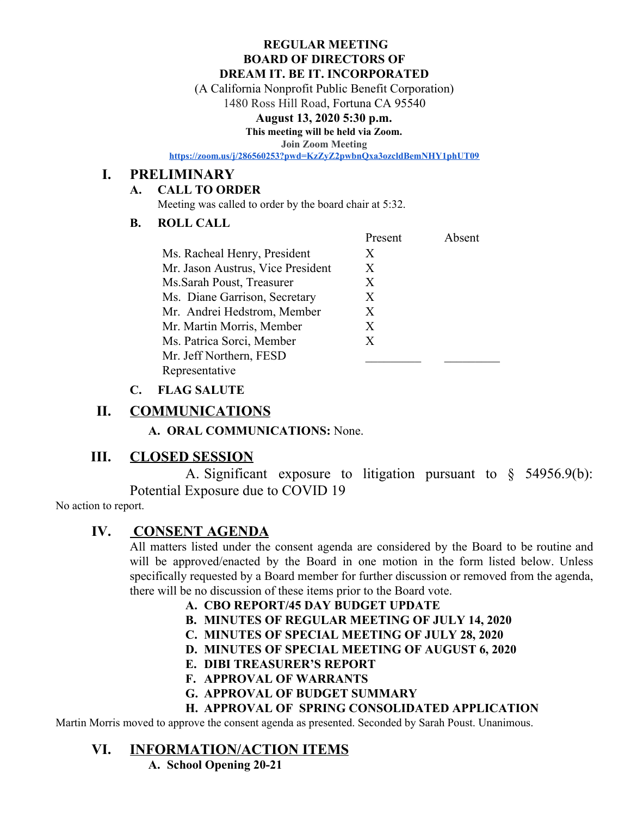#### **REGULAR MEETING BOARD OF DIRECTORS OF DREAM IT. BE IT. INCORPORATED**

(A California Nonprofit Public Benefit Corporation)

1480 Ross Hill Road, Fortuna CA 95540

### **August 13, 2020 5:30 p.m.**

**This meeting will be held via Zoom.**

**Join Zoom Meeting**

**<https://zoom.us/j/286560253?pwd=KzZyZ2pwbnQxa3ozcldBemNHY1phUT09>**

## **I. PRELIMINARY**

## **A. CALL TO ORDER**

Meeting was called to order by the board chair at 5:32.

## **B. ROLL CALL**

|                                   | Present | Absent |
|-----------------------------------|---------|--------|
| Ms. Racheal Henry, President      | X       |        |
| Mr. Jason Austrus, Vice President | X       |        |
| Ms. Sarah Poust, Treasurer        | X       |        |
| Ms. Diane Garrison, Secretary     | X       |        |
| Mr. Andrei Hedstrom, Member       | X       |        |
| Mr. Martin Morris, Member         | X       |        |
| Ms. Patrica Sorci, Member         | X       |        |
| Mr. Jeff Northern, FESD           |         |        |
| Representative                    |         |        |
|                                   |         |        |

## **C. FLAG SALUTE**

# **II. COMMUNICATIONS**

**A. ORAL COMMUNICATIONS:** None.

# **III. CLOSED SESSION**

A. Significant exposure to litigation pursuant to § 54956.9(b): Potential Exposure due to COVID 19

No action to report.

# **IV. CONSENT AGENDA**

All matters listed under the consent agenda are considered by the Board to be routine and will be approved/enacted by the Board in one motion in the form listed below. Unless specifically requested by a Board member for further discussion or removed from the agenda, there will be no discussion of these items prior to the Board vote.

**A. CBO REPORT/45 DAY BUDGET UPDATE**

- **B. MINUTES OF REGULAR MEETING OF JULY 14, 2020**
- **C. MINUTES OF SPECIAL MEETING OF JULY 28, 2020**
- **D. MINUTES OF SPECIAL MEETING OF AUGUST 6, 2020**
- **E. DIBI TREASURER'S REPORT**
- **F. APPROVAL OF WARRANTS**
- **G. APPROVAL OF BUDGET SUMMARY**

## **H. APPROVAL OF SPRING CONSOLIDATED APPLICATION**

Martin Morris moved to approve the consent agenda as presented. Seconded by Sarah Poust. Unanimous.

# **VI. INFORMATION/ACTION ITEMS**

**A. School Opening 20-21**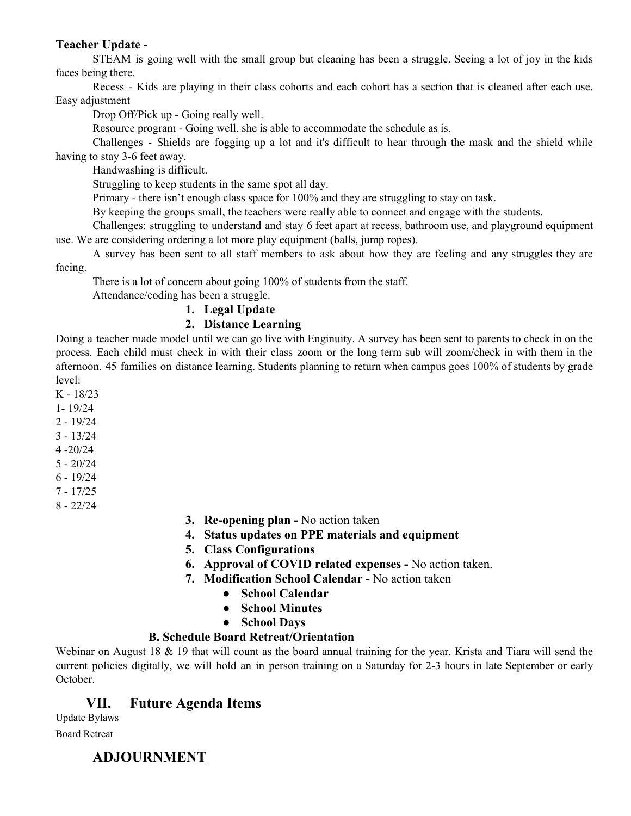### **Teacher Update -**

STEAM is going well with the small group but cleaning has been a struggle. Seeing a lot of joy in the kids faces being there.

Recess - Kids are playing in their class cohorts and each cohort has a section that is cleaned after each use. Easy adjustment

Drop Off/Pick up - Going really well.

Resource program - Going well, she is able to accommodate the schedule as is.

Challenges - Shields are fogging up a lot and it's difficult to hear through the mask and the shield while having to stay 3-6 feet away.

Handwashing is difficult.

Struggling to keep students in the same spot all day.

Primary - there isn't enough class space for 100% and they are struggling to stay on task.

By keeping the groups small, the teachers were really able to connect and engage with the students.

Challenges: struggling to understand and stay 6 feet apart at recess, bathroom use, and playground equipment use. We are considering ordering a lot more play equipment (balls, jump ropes).

A survey has been sent to all staff members to ask about how they are feeling and any struggles they are facing.

There is a lot of concern about going 100% of students from the staff.

Attendance/coding has been a struggle.

### **1. Legal Update**

### **2. Distance Learning**

Doing a teacher made model until we can go live with Enginuity. A survey has been sent to parents to check in on the process. Each child must check in with their class zoom or the long term sub will zoom/check in with them in the afternoon. 45 families on distance learning. Students planning to return when campus goes 100% of students by grade level:

K - 18/23

- 1- 19/24
- 2 19/24
- 3 13/24
- 4 -20/24
- 5 20/24
- 6 19/24
- 7 17/25
- 8 22/24

#### **3. Re-opening plan -** No action taken

- **4. Status updates on PPE materials and equipment**
- **5. Class Configurations**
- **6. Approval of COVID related expenses -** No action taken.
- **7. Modification School Calendar** No action taken
	- **● School Calendar**
	- **● School Minutes**
	- **● School Days**

### **B. Schedule Board Retreat/Orientation**

Webinar on August 18 & 19 that will count as the board annual training for the year. Krista and Tiara will send the current policies digitally, we will hold an in person training on a Saturday for 2-3 hours in late September or early October.

# **VII. Future Agenda Items**

Update Bylaws Board Retreat

# **ADJOURNMENT**